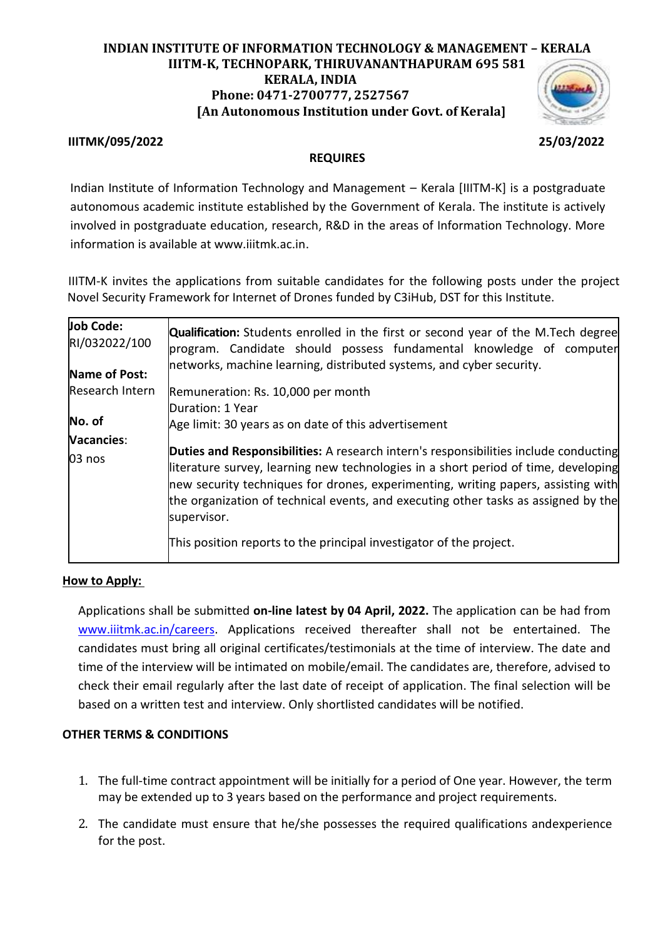# **INDIAN INSTITUTE OF INFORMATION TECHNOLOGY & MANAGEMENT – KERALA IIITM-K, TECHNOPARK, THIRUVANANTHAPURAM 695 581 KERALA, INDIA Phone: 0471-2700777, 2527567 [An Autonomous Institution under Govt. of Kerala]**

## **IIITMK/095/2022 25/03/2022**

## **REQUIRES**

Indian Institute of Information Technology and Management – Kerala [IIITM-K] is a postgraduate autonomous academic institute established by the Government of Kerala. The institute is actively involved in postgraduate education, research, R&D in the areas of Information Technology. More information is available at www.iiitmk.ac.in.

IIITM-K invites the applications from suitable candidates for the following posts under the project Novel Security Framework for Internet of Drones funded by C3iHub, DST for this Institute.

| <b>Job Code:</b><br>RI/032022/100 | <b>Qualification:</b> Students enrolled in the first or second year of the M.Tech degree<br>program. Candidate should possess fundamental knowledge of computer                                                                                                                                                                                                             |
|-----------------------------------|-----------------------------------------------------------------------------------------------------------------------------------------------------------------------------------------------------------------------------------------------------------------------------------------------------------------------------------------------------------------------------|
| Name of Post:                     | networks, machine learning, distributed systems, and cyber security.                                                                                                                                                                                                                                                                                                        |
| Research Intern                   | Remuneration: Rs. 10,000 per month                                                                                                                                                                                                                                                                                                                                          |
|                                   | Duration: 1 Year                                                                                                                                                                                                                                                                                                                                                            |
| No. of                            | Age limit: 30 years as on date of this advertisement                                                                                                                                                                                                                                                                                                                        |
| Vacancies:                        |                                                                                                                                                                                                                                                                                                                                                                             |
| 03 nos                            | <b>Duties and Responsibilities:</b> A research intern's responsibilities include conducting<br>literature survey, learning new technologies in a short period of time, developing<br>new security techniques for drones, experimenting, writing papers, assisting with<br>the organization of technical events, and executing other tasks as assigned by the<br>supervisor. |
|                                   | This position reports to the principal investigator of the project.                                                                                                                                                                                                                                                                                                         |

### **How to Apply:**

Applications shall be submitted **on-line latest by 04 April, 2022.** The application can be had from [www.iiitmk.ac.in/careers.](http://www.iiitmk.ac.in/careers) Applications received thereafter shall not be entertained. The candidates must bring all original certificates/testimonials at the time of interview. The date and time of the interview will be intimated on mobile/email. The candidates are, therefore, advised to check their email regularly after the last date of receipt of application. The final selection will be based on a written test and interview. Only shortlisted candidates will be notified.

### **OTHER TERMS & CONDITIONS**

- 1. The full-time contract appointment will be initially for a period of One year. However, the term may be extended up to 3 years based on the performance and project requirements.
- 2. The candidate must ensure that he/she possesses the required qualifications andexperience for the post.